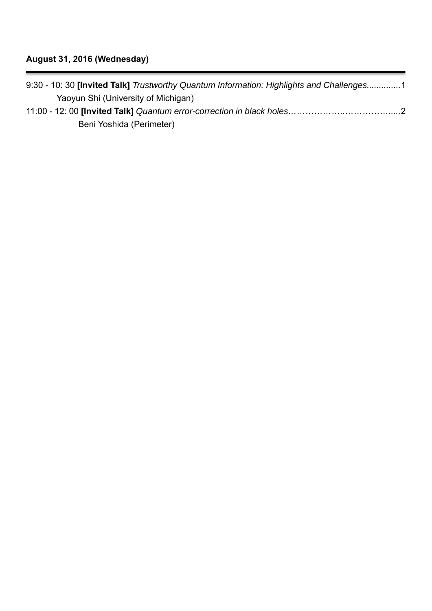| 9:30 - 10:30 [Invited Talk] Trustworthy Quantum Information: Highlights and Challenges1 |  |
|-----------------------------------------------------------------------------------------|--|
| Yaoyun Shi (University of Michigan)                                                     |  |
|                                                                                         |  |
| Beni Yoshida (Perimeter)                                                                |  |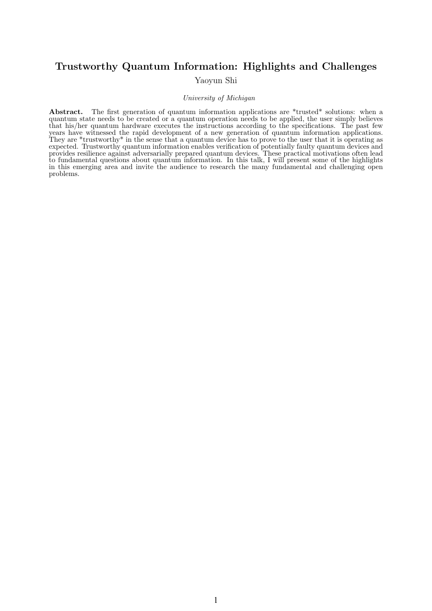## Trustworthy Quantum Information: Highlights and Challenges

Yaoyun Shi

## University of Michigan

Abstract. The first generation of quantum information applications are \*trusted\* solutions: when a quantum state needs to be created or a quantum operation needs to be applied, the user simply believes that his/her quantum hardware executes the instructions according to the specifications. The past few years have witnessed the rapid development of a new generation of quantum information applications. They are \*trustworthy\* in the sense that a quantum device has to prove to the user that it is operating as expected. Trustworthy quantum information enables verification of potentially faulty quantum devices and provides resilience against adversarially prepared quantum devices. These practical motivations often lead to fundamental questions about quantum information. In this talk, I will present some of the highlights in this emerging area and invite the audience to research the many fundamental and challenging open problems.